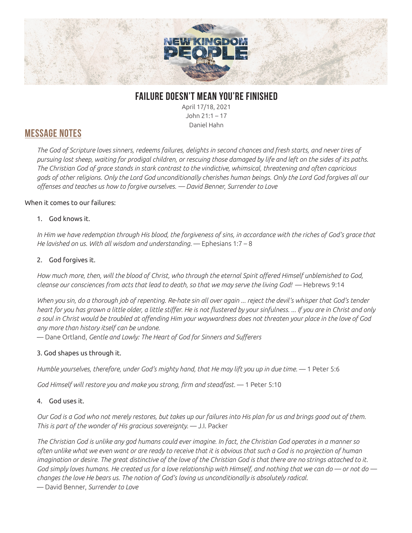

## **FAILURE DOESN'T MEAN YOU'RE FINISHED**

April 17/18, 2021 John 21:1 – 17 Daniel Hahn

## **MESSAGE NOTES**

*The God of Scripture loves sinners, redeems failures, delights in second chances and fresh starts, and never tires of pursuing lost sheep, waiting for prodigal children, or rescuing those damaged by life and left on the sides of its paths. The Christian God of grace stands in stark contrast to the vindictive, whimsical, threatening and often capricious gods of other religions. Only the Lord God unconditionally cherishes human beings. Only the Lord God forgives all our offenses and teaches us how to forgive ourselves. — David Benner, Surrender to Love*

#### When it comes to our failures:

#### 1. God knows it.

In Him we have redemption through His blood, the forgiveness of sins, in accordance with the riches of God's grace that *He lavished on us. With all wisdom and understanding.* — Ephesians 1:7 – 8

#### 2. God forgives it.

*How much more, then, will the blood of Christ, who through the eternal Spirit offered Himself unblemished to God, cleanse our consciences from acts that lead to death, so that we may serve the living God!* — Hebrews 9:14

*When you sin, do a thorough job of repenting. Re-hate sin all over again ... reject the devil's whisper that God's tender heart for you has grown a little older, a little stiffer. He is not flustered by your sinfulness. ... If you are in Christ and only a soul in Christ would be troubled at offending Him your waywardness does not threaten your place in the love of God any more than history itself can be undone.* 

— Dane Ortland, *Gentle and Lowly: The Heart of God for Sinners and Sufferers*

### 3. God shapes us through it.

*Humble yourselves, therefore, under God's mighty hand, that He may lift you up in due time.* — 1 Peter 5:6

*God Himself will restore you and make you strong, firm and steadfast.* — 1 Peter 5:10

#### 4. God uses it.

*Our God is a God who not merely restores, but takes up our failures into His plan for us and brings good out of them. This is part of the wonder of His gracious sovereignty.* — J.I. Packer

*The Christian God is unlike any god humans could ever imagine. In fact, the Christian God operates in a manner so often unlike what we even want or are ready to receive that it is obvious that such a God is no projection of human imagination or desire. The great distinctive of the love of the Christian God is that there are no strings attached to it. God simply loves humans. He created us for a love relationship with Himself, and nothing that we can do — or not do changes the love He bears us. The notion of God's loving us unconditionally is absolutely radical.* 

— David Benner, *Surrender to Love*